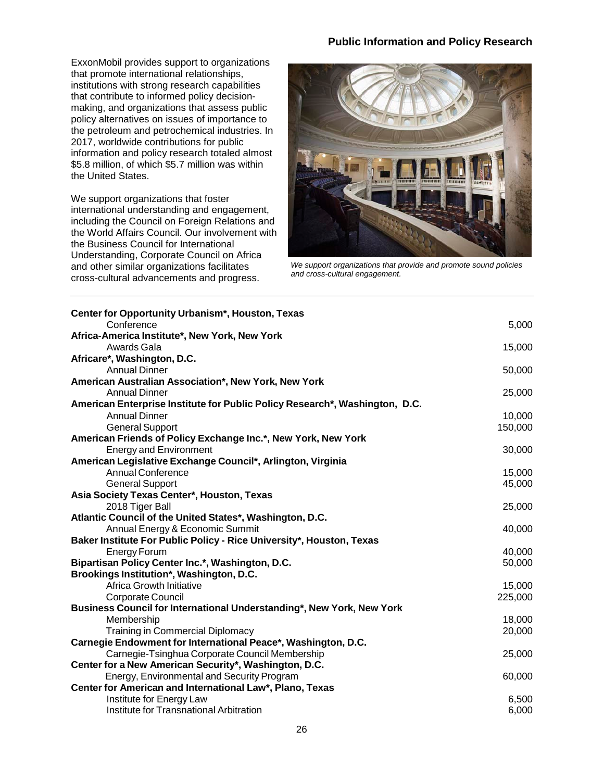## **Public Information and Policy Research**

ExxonMobil provides support to organizations that promote international relationships, institutions with strong research capabilities that contribute to informed policy decisionmaking, and organizations that assess public policy alternatives on issues of importance to the petroleum and petrochemical industries. In 2017, worldwide contributions for public information and policy research totaled almost \$5.8 million, of which \$5.7 million was within the United States.

We support organizations that foster international understanding and engagement, including the Council on Foreign Relations and the World Affairs Council. Our involvement with the Business Council for International Understanding, Corporate Council on Africa and other similar organizations facilitates cross-cultural advancements and progress.



*We support organizations that provide and promote sound policies and cross-cultural engagement.*

| Center for Opportunity Urbanism*, Houston, Texas                            |         |
|-----------------------------------------------------------------------------|---------|
| Conference                                                                  | 5,000   |
| Africa-America Institute*, New York, New York<br>Awards Gala                |         |
| Africare*, Washington, D.C.                                                 | 15,000  |
| <b>Annual Dinner</b>                                                        | 50,000  |
| American Australian Association*, New York, New York                        |         |
| <b>Annual Dinner</b>                                                        | 25,000  |
| American Enterprise Institute for Public Policy Research*, Washington, D.C. |         |
| <b>Annual Dinner</b>                                                        | 10,000  |
| <b>General Support</b>                                                      | 150,000 |
| American Friends of Policy Exchange Inc.*, New York, New York               |         |
| <b>Energy and Environment</b>                                               | 30,000  |
| American Legislative Exchange Council*, Arlington, Virginia                 |         |
| <b>Annual Conference</b>                                                    | 15,000  |
| <b>General Support</b>                                                      | 45,000  |
| Asia Society Texas Center*, Houston, Texas                                  |         |
| 2018 Tiger Ball                                                             | 25,000  |
| Atlantic Council of the United States*, Washington, D.C.                    |         |
| Annual Energy & Economic Summit                                             | 40,000  |
| Baker Institute For Public Policy - Rice University*, Houston, Texas        |         |
| <b>Energy Forum</b>                                                         | 40,000  |
| Bipartisan Policy Center Inc.*, Washington, D.C.                            | 50,000  |
| Brookings Institution*, Washington, D.C.                                    |         |
| Africa Growth Initiative                                                    | 15,000  |
| Corporate Council                                                           | 225,000 |
| Business Council for International Understanding*, New York, New York       |         |
| Membership                                                                  | 18,000  |
| <b>Training in Commercial Diplomacy</b>                                     | 20,000  |
| Carnegie Endowment for International Peace*, Washington, D.C.               |         |
| Carnegie-Tsinghua Corporate Council Membership                              | 25,000  |
| Center for a New American Security*, Washington, D.C.                       |         |
| Energy, Environmental and Security Program                                  | 60,000  |
| Center for American and International Law*, Plano, Texas                    |         |
| Institute for Energy Law                                                    | 6,500   |
| Institute for Transnational Arbitration                                     | 6,000   |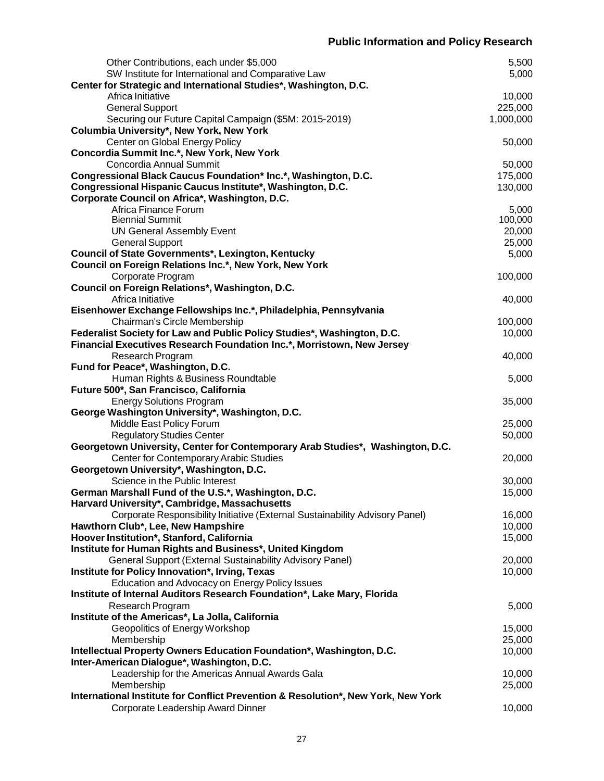| Other Contributions, each under \$5,000                                           | 5,500     |
|-----------------------------------------------------------------------------------|-----------|
| SW Institute for International and Comparative Law                                | 5,000     |
| Center for Strategic and International Studies*, Washington, D.C.                 |           |
| Africa Initiative                                                                 | 10,000    |
| <b>General Support</b>                                                            | 225,000   |
| Securing our Future Capital Campaign (\$5M: 2015-2019)                            | 1,000,000 |
| Columbia University*, New York, New York                                          |           |
| Center on Global Energy Policy                                                    | 50,000    |
| Concordia Summit Inc.*, New York, New York                                        |           |
| Concordia Annual Summit                                                           | 50,000    |
| Congressional Black Caucus Foundation* Inc.*, Washington, D.C.                    | 175,000   |
| Congressional Hispanic Caucus Institute*, Washington, D.C.                        | 130,000   |
| Corporate Council on Africa*, Washington, D.C.                                    |           |
| Africa Finance Forum                                                              | 5,000     |
| <b>Biennial Summit</b>                                                            | 100,000   |
| <b>UN General Assembly Event</b>                                                  | 20,000    |
| <b>General Support</b>                                                            | 25,000    |
| Council of State Governments*, Lexington, Kentucky                                | 5,000     |
| Council on Foreign Relations Inc.*, New York, New York                            |           |
| Corporate Program                                                                 | 100,000   |
| Council on Foreign Relations*, Washington, D.C.                                   |           |
| Africa Initiative                                                                 | 40,000    |
| Eisenhower Exchange Fellowships Inc.*, Philadelphia, Pennsylvania                 |           |
| Chairman's Circle Membership                                                      | 100,000   |
| Federalist Society for Law and Public Policy Studies*, Washington, D.C.           | 10,000    |
| Financial Executives Research Foundation Inc.*, Morristown, New Jersey            |           |
| Research Program                                                                  | 40,000    |
| Fund for Peace*, Washington, D.C.                                                 |           |
| Human Rights & Business Roundtable                                                | 5,000     |
| Future 500*, San Francisco, California                                            |           |
|                                                                                   | 35,000    |
| <b>Energy Solutions Program</b>                                                   |           |
| George Washington University*, Washington, D.C.                                   |           |
| Middle East Policy Forum                                                          | 25,000    |
| <b>Regulatory Studies Center</b>                                                  | 50,000    |
| Georgetown University, Center for Contemporary Arab Studies*, Washington, D.C.    |           |
| Center for Contemporary Arabic Studies                                            | 20,000    |
| Georgetown University*, Washington, D.C.                                          |           |
| Science in the Public Interest                                                    | 30,000    |
| German Marshall Fund of the U.S.*, Washington, D.C.                               | 15,000    |
| Harvard University*, Cambridge, Massachusetts                                     |           |
| Corporate Responsibility Initiative (External Sustainability Advisory Panel)      | 16,000    |
| Hawthorn Club*, Lee, New Hampshire                                                | 10,000    |
| Hoover Institution*, Stanford, California                                         | 15,000    |
| Institute for Human Rights and Business*, United Kingdom                          |           |
| General Support (External Sustainability Advisory Panel)                          | 20,000    |
| Institute for Policy Innovation*, Irving, Texas                                   | 10,000    |
| Education and Advocacy on Energy Policy Issues                                    |           |
| Institute of Internal Auditors Research Foundation*, Lake Mary, Florida           |           |
| Research Program                                                                  | 5,000     |
| Institute of the Americas*, La Jolla, California                                  |           |
| Geopolitics of Energy Workshop                                                    | 15,000    |
| Membership                                                                        | 25,000    |
| Intellectual Property Owners Education Foundation*, Washington, D.C.              | 10,000    |
| Inter-American Dialogue*, Washington, D.C.                                        |           |
| Leadership for the Americas Annual Awards Gala                                    | 10,000    |
| Membership                                                                        | 25,000    |
| International Institute for Conflict Prevention & Resolution*, New York, New York |           |
| Corporate Leadership Award Dinner                                                 | 10,000    |
|                                                                                   |           |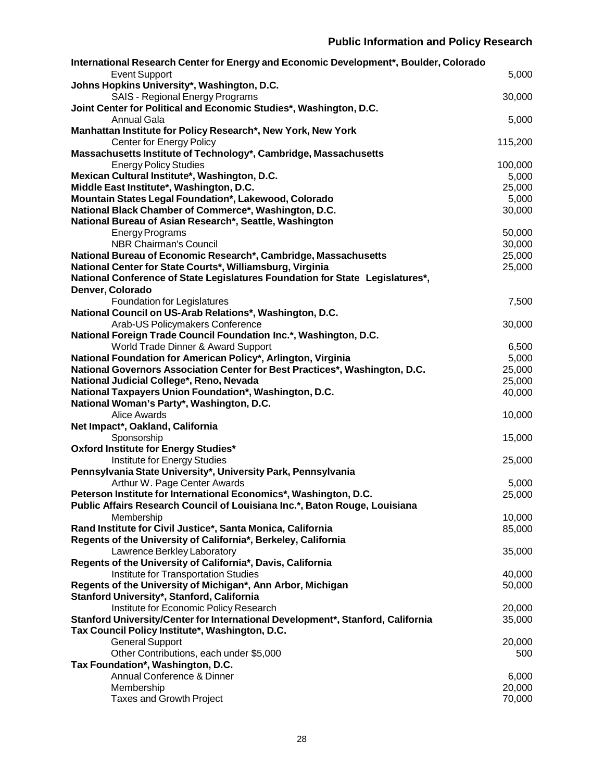| International Research Center for Energy and Economic Development*, Boulder, Colorado                |         |
|------------------------------------------------------------------------------------------------------|---------|
| <b>Event Support</b>                                                                                 | 5,000   |
| Johns Hopkins University*, Washington, D.C.                                                          |         |
| <b>SAIS - Regional Energy Programs</b>                                                               | 30,000  |
| Joint Center for Political and Economic Studies*, Washington, D.C.                                   |         |
| <b>Annual Gala</b>                                                                                   | 5,000   |
| Manhattan Institute for Policy Research*, New York, New York                                         |         |
| <b>Center for Energy Policy</b>                                                                      | 115,200 |
| Massachusetts Institute of Technology*, Cambridge, Massachusetts                                     |         |
| <b>Energy Policy Studies</b>                                                                         | 100,000 |
| Mexican Cultural Institute*, Washington, D.C.                                                        | 5,000   |
| Middle East Institute*, Washington, D.C.                                                             | 25,000  |
| Mountain States Legal Foundation*, Lakewood, Colorado                                                | 5,000   |
| National Black Chamber of Commerce*, Washington, D.C.                                                | 30,000  |
| National Bureau of Asian Research*, Seattle, Washington                                              |         |
| <b>Energy Programs</b>                                                                               | 50,000  |
| <b>NBR Chairman's Council</b>                                                                        | 30,000  |
| National Bureau of Economic Research*, Cambridge, Massachusetts                                      | 25,000  |
| National Center for State Courts*, Williamsburg, Virginia                                            | 25,000  |
| National Conference of State Legislatures Foundation for State Legislatures*,                        |         |
| Denver, Colorado                                                                                     |         |
| Foundation for Legislatures                                                                          | 7,500   |
| National Council on US-Arab Relations*, Washington, D.C.                                             |         |
| Arab-US Policymakers Conference<br>National Foreign Trade Council Foundation Inc.*, Washington, D.C. | 30,000  |
| World Trade Dinner & Award Support                                                                   | 6,500   |
| National Foundation for American Policy*, Arlington, Virginia                                        | 5,000   |
| National Governors Association Center for Best Practices*, Washington, D.C.                          | 25,000  |
| National Judicial College*, Reno, Nevada                                                             | 25,000  |
| National Taxpayers Union Foundation*, Washington, D.C.                                               | 40,000  |
| National Woman's Party*, Washington, D.C.                                                            |         |
| <b>Alice Awards</b>                                                                                  | 10,000  |
| Net Impact*, Oakland, California                                                                     |         |
| Sponsorship                                                                                          | 15,000  |
| Oxford Institute for Energy Studies*                                                                 |         |
| Institute for Energy Studies                                                                         | 25,000  |
| Pennsylvania State University*, University Park, Pennsylvania                                        |         |
| Arthur W. Page Center Awards                                                                         | 5,000   |
| Peterson Institute for International Economics*, Washington, D.C.                                    | 25,000  |
| Public Affairs Research Council of Louisiana Inc.*, Baton Rouge, Louisiana                           |         |
| Membership                                                                                           | 10,000  |
| Rand Institute for Civil Justice*, Santa Monica, California                                          | 85,000  |
| Regents of the University of California*, Berkeley, California                                       |         |
| Lawrence Berkley Laboratory                                                                          | 35,000  |
| Regents of the University of California*, Davis, California                                          |         |
| Institute for Transportation Studies                                                                 | 40,000  |
| Regents of the University of Michigan*, Ann Arbor, Michigan                                          | 50,000  |
| Stanford University*, Stanford, California                                                           |         |
| Institute for Economic Policy Research                                                               | 20,000  |
| Stanford University/Center for International Development*, Stanford, California                      | 35,000  |
| Tax Council Policy Institute*, Washington, D.C.                                                      |         |
| <b>General Support</b>                                                                               | 20,000  |
| Other Contributions, each under \$5,000                                                              | 500     |
| Tax Foundation*, Washington, D.C.                                                                    |         |
| Annual Conference & Dinner                                                                           | 6,000   |
| Membership                                                                                           | 20,000  |
| <b>Taxes and Growth Project</b>                                                                      | 70,000  |